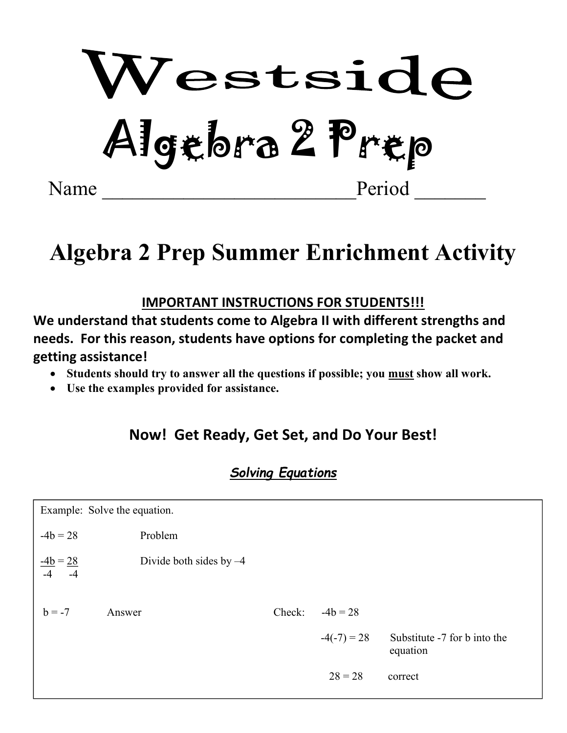

# Algebra 2 Prep Summer Enrichment Activity  $\overline{a}$

#### IMPORTANT INSTRUCTIONS FOR STUDENTS!!!

We understand that students come to Algebra II with different strengths and needs. For this reason, students have options for completing the packet and getting assistance!

- Students should try to answer all the questions if possible; you must show all work.
- Use the examples provided for assistance.

## Now! Get Ready, Get Set, and Do Your Best!

#### Solving Equations

| Example: Solve the equation.     |                           |        |               |                                          |  |  |
|----------------------------------|---------------------------|--------|---------------|------------------------------------------|--|--|
| $-4b = 28$                       | Problem                   |        |               |                                          |  |  |
| $\frac{-4b}{-4} = \frac{28}{-4}$ | Divide both sides by $-4$ |        |               |                                          |  |  |
| $b = -7$                         | Answer                    | Check: | $-4b = 28$    |                                          |  |  |
|                                  |                           |        | $-4(-7) = 28$ | Substitute -7 for b into the<br>equation |  |  |
|                                  |                           |        | $28 = 28$     | correct                                  |  |  |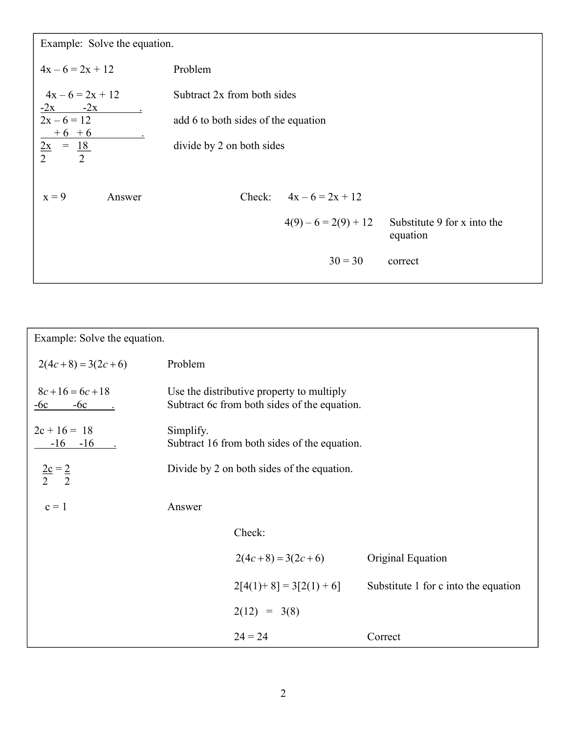Example: Solve the equation.

| Problem |                        |                                                                                                 |
|---------|------------------------|-------------------------------------------------------------------------------------------------|
|         |                        |                                                                                                 |
|         |                        |                                                                                                 |
|         |                        |                                                                                                 |
|         |                        |                                                                                                 |
| Check:  | $4x - 6 = 2x + 12$     |                                                                                                 |
|         | $4(9) - 6 = 2(9) + 12$ | Substitute 9 for x into the<br>equation                                                         |
|         | $30 = 30$              | correct                                                                                         |
|         |                        | Subtract 2x from both sides<br>add 6 to both sides of the equation<br>divide by 2 on both sides |

| Example: Solve the equation.   |                                                                                           |                                              |                                      |  |
|--------------------------------|-------------------------------------------------------------------------------------------|----------------------------------------------|--------------------------------------|--|
| $2(4c+8) = 3(2c+6)$            | Problem                                                                                   |                                              |                                      |  |
| $8c+16=6c+18$<br>$-6c$ $-6c$ . | Use the distributive property to multiply<br>Subtract 6c from both sides of the equation. |                                              |                                      |  |
| $2c + 16 = 18$<br>$-16 - 16$ . | Simplify.                                                                                 | Subtract 16 from both sides of the equation. |                                      |  |
| $\frac{2c}{2} = \frac{2}{2}$   |                                                                                           | Divide by 2 on both sides of the equation.   |                                      |  |
| $c = 1$                        | Answer                                                                                    |                                              |                                      |  |
|                                |                                                                                           | Check:                                       |                                      |  |
|                                |                                                                                           | $2(4c+8) = 3(2c+6)$                          | Original Equation                    |  |
|                                |                                                                                           | $2[4(1)+8] = 3[2(1)+6]$                      | Substitute 1 for c into the equation |  |
|                                |                                                                                           | $2(12) = 3(8)$                               |                                      |  |
|                                |                                                                                           | $24 = 24$                                    | Correct                              |  |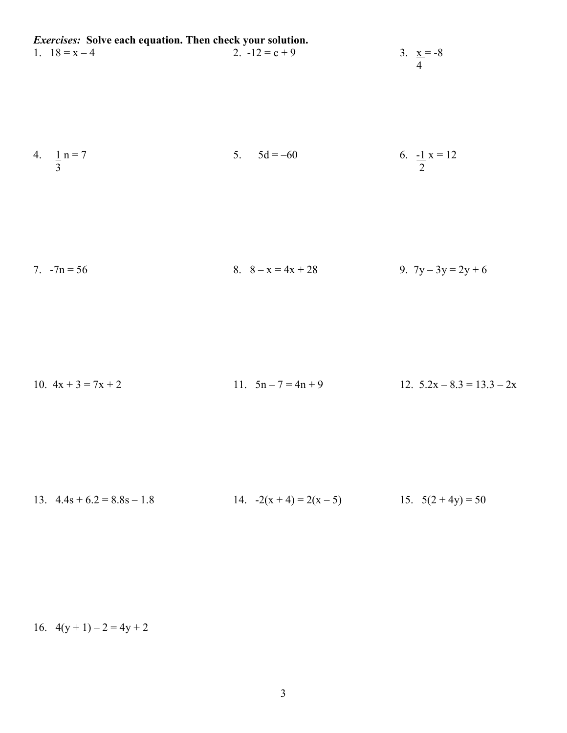Exercises: Solve each equation. Then check your solution. 1.  $18 = x - 4$ <br>2.  $-12 = c + 9$ <br>3.  $\frac{x}{4} = -8$  4 5.  $5d = -60$  6.  $\frac{-1}{2}x = 12$ 4.  $\frac{1}{3}$  n = 7 7.  $-7n = 56$  8.  $8 - x = 4x + 28$  9.  $7y - 3y = 2y + 6$ 10.  $4x + 3 = 7x + 2$  11.  $5n - 7 = 4n + 9$  12.  $5.2x - 8.3 = 13.3 - 2x$ 13.  $4.4s + 6.2 = 8.8s - 1.8$  14.  $-2(x + 4) = 2(x - 5)$  15.  $5(2 + 4y) = 50$ 

16.  $4(y+1) - 2 = 4y + 2$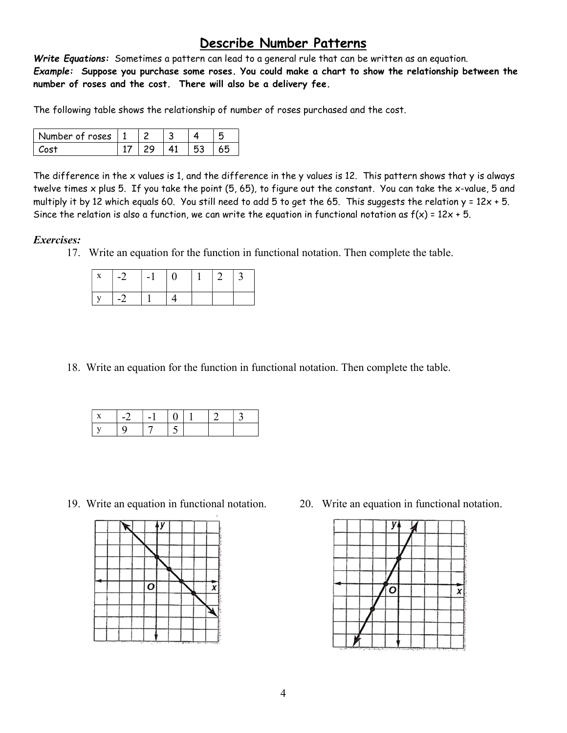#### Describe Number Patterns

Write Equations: Sometimes a pattern can lead to a general rule that can be written as an equation. Example: Suppose you purchase some roses. You could make a chart to show the relationship between the number of roses and the cost. There will also be a delivery fee.

The following table shows the relationship of number of roses purchased and the cost.

| Number of roses   1 |  |  |  |
|---------------------|--|--|--|
|                     |  |  |  |

The difference in the x values is 1, and the difference in the y values is 12. This pattern shows that y is always twelve times x plus 5. If you take the point (5, 65), to figure out the constant. You can take the x-value, 5 and multiply it by 12 which equals 60. You still need to add 5 to get the 65. This suggests the relation  $y = 12x + 5$ . Since the relation is also a function, we can write the equation in functional notation as  $f(x) = 12x + 5$ .

#### Exercises:

17. Write an equation for the function in functional notation. Then complete the table.

| $\vert -2 \vert$ | $\vert -1 \vert$ | $\vert$ () | $\perp$ 2 | $\perp$ 3 |
|------------------|------------------|------------|-----------|-----------|
| $-2$             |                  |            |           |           |

18. Write an equation for the function in functional notation. Then complete the table.

| $\mathbf{L}$ | - - 2 | $\overline{\phantom{a}}$ |  |  |
|--------------|-------|--------------------------|--|--|
| $\mathbf{I}$ |       |                          |  |  |



19. Write an equation in functional notation. 20. Write an equation in functional notation.

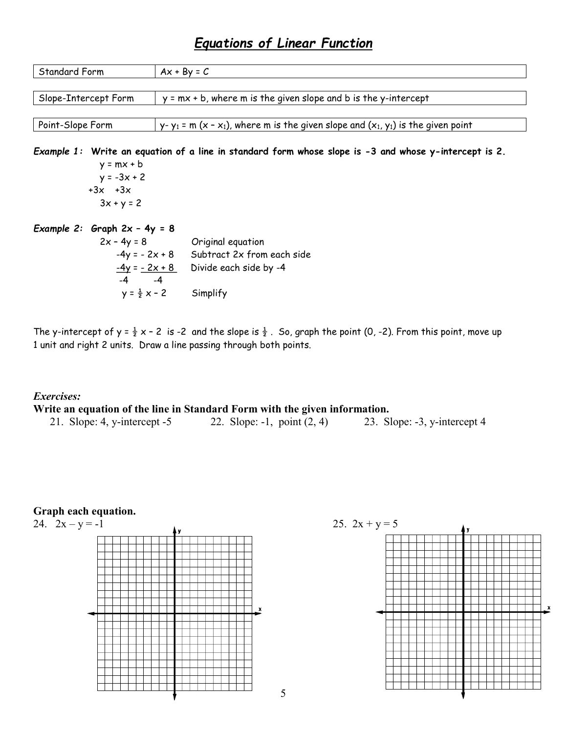## Equations of Linear Function

| Standard Form                  | $Ax + By = C$                                                                                         |
|--------------------------------|-------------------------------------------------------------------------------------------------------|
|                                |                                                                                                       |
| Slope-Intercept Form           | $y = mx + b$ , where m is the given slope and b is the y-intercept                                    |
|                                |                                                                                                       |
| Point-Slope Form               | $y - y_1 = m (x - x_1)$ , where m is the given slope and $(x_1, y_1)$ is the given point              |
|                                |                                                                                                       |
|                                | Example 1: Write an equation of a line in standard form whose slope is -3 and whose y-intercept is 2. |
| $y = mx + b$                   |                                                                                                       |
| $y = -3x + 2$                  |                                                                                                       |
| $+3x$ $+3x$                    |                                                                                                       |
| $3x + y = 2$                   |                                                                                                       |
| Example 2: Graph $2x - 4y = 8$ |                                                                                                       |
|                                | $2x - 4y = 8$ Original equation                                                                       |
|                                | $-4y = -2x + 8$ Subtract 2x from each side                                                            |
|                                | $-4y = -2x + 8$<br>Divide each side by -4                                                             |
| $-4$ $-4$                      |                                                                                                       |
| $y = \frac{1}{2}x - 2$         | Simplify                                                                                              |
|                                |                                                                                                       |

The y-intercept of  $y = \frac{1}{2}x - 2$  is -2 and the slope is  $\frac{1}{2}$ . So, graph the point (0, -2). From this point, move up 1 unit and right 2 units. Draw a line passing through both points.

#### Exercises: Write an equation of the line in Standard Form with the given information. 21. Slope: 4, y-intercept -5 22. Slope: -1, point (2, 4) 23. Slope: -3, y-intercept 4





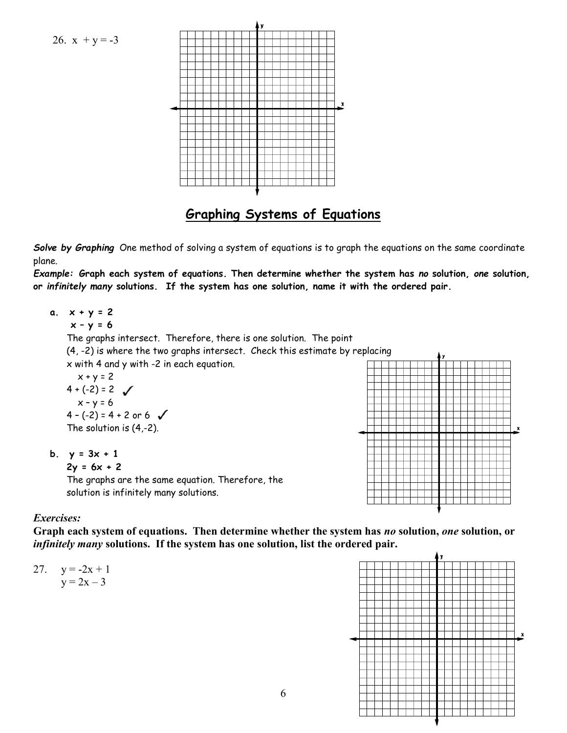



## Graphing Systems of Equations

Solve by Graphing One method of solving a system of equations is to graph the equations on the same coordinate plane.

Example: Graph each system of equations. Then determine whether the system has no solution, one solution, or infinitely many solutions. If the system has one solution, name it with the ordered pair.

- a.  $x + y = 2$  $x - y = 6$ The graphs intersect. Therefore, there is one solution. The point (4, -2) is where the two graphs intersect. Check this estimate by replacing x with 4 and y with -2 in each equation.  $x + y = 2$  $4 + (-2) = 2$  $x - y = 6$  $4 - (-2) = 4 + 2$  or 6 The solution is (4,-2). b.  $y = 3x + 1$ 
	-

 $2y = 6x + 2$ 

The graphs are the same equation. Therefore, the solution is infinitely many solutions.



#### Exercises:

Graph each system of equations. Then determine whether the system has no solution, one solution, or infinitely many solutions. If the system has one solution, list the ordered pair.



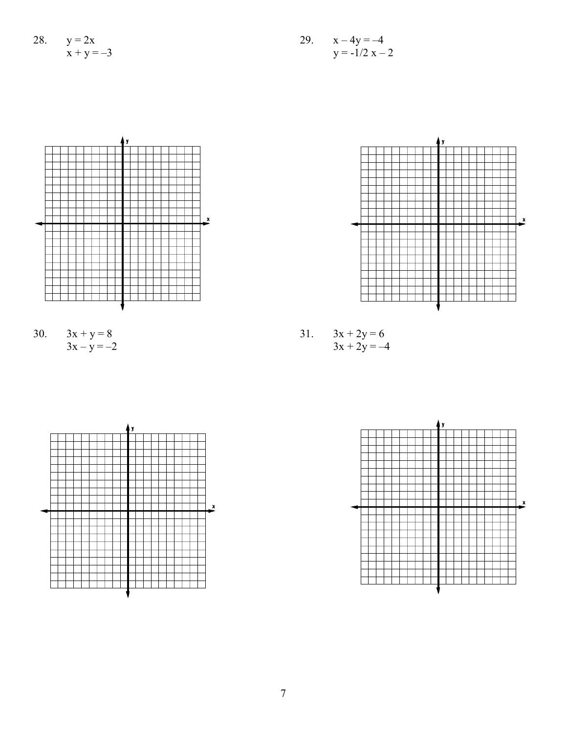28. 
$$
y = 2x
$$

$$
x + y = -3
$$







x

30.  $3x + y = 8$  31.  $3x + 2y = 6$  $3x - y = -2$   $3x + 2y = -4$ 



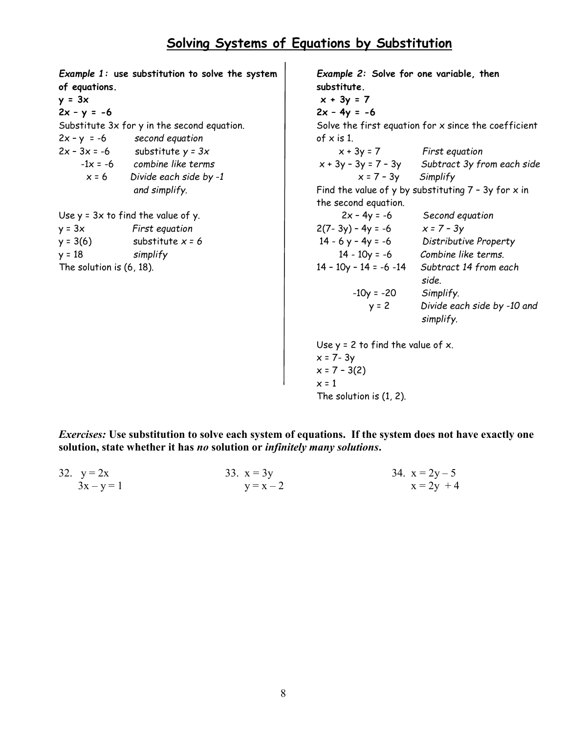Example 1: use substitution to solve the system of equations.  $y = 3x$  $2x - y = -6$ Substitute 3x for y in the second equation.  $2x - y = -6$  second equation  $2x - 3x = -6$  substitute  $y = 3x$  $-1x = -6$  combine like terms  $x = 6$  Divide each side by -1 and simplify. Use  $y = 3x$  to find the value of y.  $y = 3x$  First equation  $y = 3(6)$  substitute  $x = 6$  $y = 18$  simplify The solution is (6, 18). Example 2: Solve for one variable, then substitute.  $x + 3y = 7$  $2x - 4y = -6$ Solve the first equation for  $x$  since the coefficient of x is 1.  $x + 3y = 7$  First equation  $x + 3y - 3y = 7 - 3y$  Subtract 3y from each side  $x = 7 - 3y$  Simplify Find the value of y by substituting  $7 - 3y$  for x in the second equation.  $2x - 4y = -6$  Second equation  $2(7 - 3y) - 4y = -6$   $x = 7 - 3y$  14 - 6 y – 4y = -6 Distributive Property 14 - 10y = -6 Combine like terms. 14 – 10y – 14 = -6 -14 Subtract 14 from each side.  $-10y = -20$  Simplify. y = 2 Divide each side by -10 and simplify. Use  $y = 2$  to find the value of  $x$ .  $x = 7 - 3y$  $x = 7 - 3(2)$  $x = 1$ The solution is (1, 2).

Exercises: Use substitution to solve each system of equations. If the system does not have exactly one solution, state whether it has no solution or *infinitely many solutions*.

| 32. $y = 2x$ | 33. $x = 3y$ | 34. $x = 2y - 5$ |
|--------------|--------------|------------------|
| $3x - y = 1$ | $y = x - 2$  | $x = 2y + 4$     |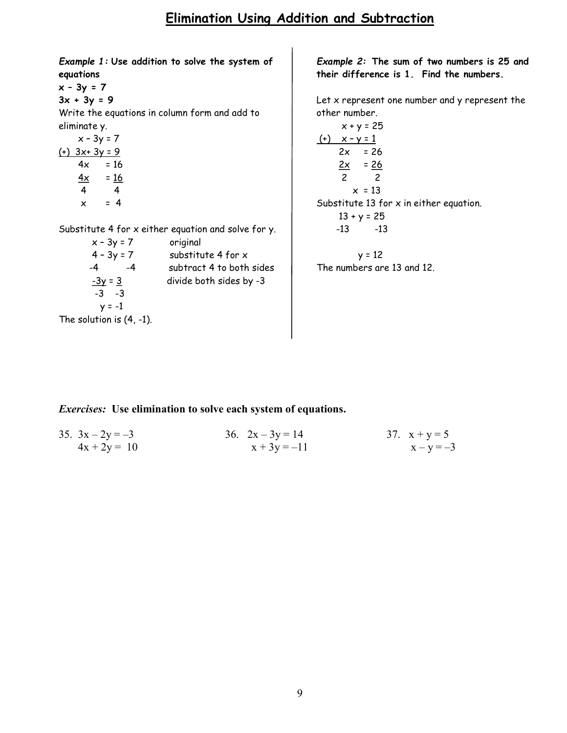#### Elimination Using Addition and Subtraction

Example 1: Use addition to solve the system of equations

 $x - 3y = 7$  $3x + 3y = 9$ 

Write the equations in column form and add to eliminate y.

 $x - 3y = 7$ (+) 3x+ 3y = 9  $4x = 16$  $\frac{4x}{ }$  = 16 4 4  $x = 4$ 

The

Substitute 4 for x either equation and solve for y.

| $x - 3y = 7$                | original                 |
|-----------------------------|--------------------------|
| $4 - 3y = 7$                | substitute 4 for x       |
| -4<br>-4                    | subtract 4 to both sides |
| $-3y = 3$                   | divide both sides by -3  |
| $-3 -3$                     |                          |
| $y = -1$                    |                          |
| The solution is $(4, -1)$ . |                          |

Example 2: The sum of two numbers is 25 and their difference is 1. Find the numbers.

Let x represent one number and y represent the other number.

$$
x+y=25
$$
\n
$$
\begin{array}{r@{}r@{}r@{}r@{}r@{}r@{}r}\n\hline\n & x-y=1 \\
 & 2x & = 26 \\
 & \underline{2x} & = \underline{26} \\
 & 2 & 2 \\
 & x & = 13\n\end{array}
$$
\nSubstitute 13 for x in either equation.  
\n
$$
\begin{array}{r@{}r@{}r@{}r@{}r}\n3 & + y & = 25 \\
-13 & -13\n\end{array}
$$

 $y = 12$ The numbers are 13 and 12.

Exercises: Use elimination to solve each system of equations.

| 35. $3x - 2y = -3$ | 36. $2x - 3y = 14$ | 37. $x + y = 5$ |
|--------------------|--------------------|-----------------|
| $4x + 2y = 10$     | $x + 3y = -11$     | $x - y = -3$    |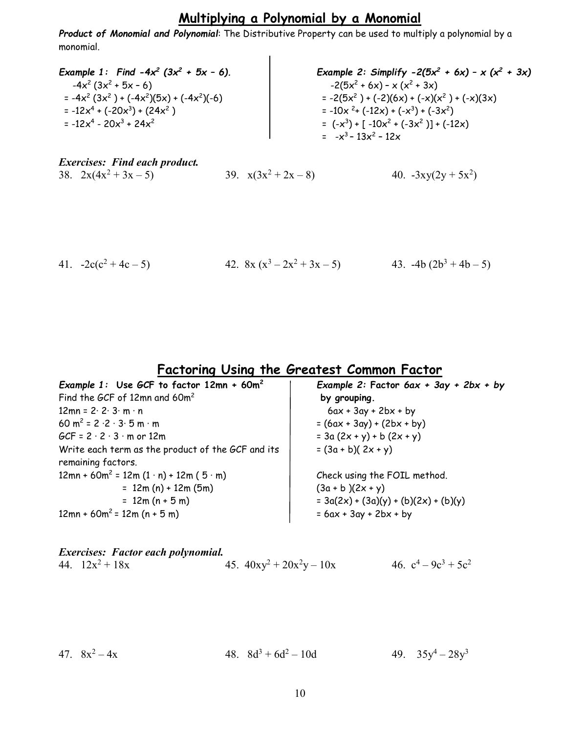## Multiplying a Polynomial by a Monomial

Product of Monomial and Polynomial: The Distributive Property can be used to multiply a polynomial by a monomial.

| Example 1: Find $-4x^2$ (3x <sup>2</sup> + 5x - 6). | Example 2: Simplify $-2(5x^2 + 6x) - x(x^2 + 3x)$ |
|-----------------------------------------------------|---------------------------------------------------|
| $-4x^2(3x^2+5x-6)$                                  | $-2(5x^2 + 6x) - x(x^2 + 3x)$                     |
| $= -4x^{2}(3x^{2}) + (-4x^{2})(5x) + (-4x^{2})(-6)$ | = $-2(5x^2) + (-2)(6x) + (-x)(x^2) + (-x)(3x)$    |
| $= -12x^{4} + (-20x^{3}) + (24x^{2})$               | $= -10x^{2} + (-12x) + (-x^{3}) + (-3x^{2})$      |
| $= -12x^{4} - 20x^{3} + 24x^{2}$                    | = $(-x^3) + [-10x^2 + (-3x^2)] + (-12x)$          |
|                                                     | $= -x^3 - 13x^2 - 12x$                            |

| <b>Exercises: Find each product.</b> |                        |                     |
|--------------------------------------|------------------------|---------------------|
| 38. $2x(4x^2 + 3x - 5)$              | 39. $x(3x^2 + 2x - 8)$ | 40. $-3xy(2y+5x^2)$ |

41.  $-2c(c^2+4c-5)$  42.  $8x(x^3-2x^2+3x-5)$  43.  $-4b(2b^3+4b-5)$ 

## Factoring Using the Greatest Common Factor

| Example 1: Use GCF to factor $12mn + 60m^2$                 | Example 2: Factor $6ax + 3ay + 2bx + by$ |  |  |
|-------------------------------------------------------------|------------------------------------------|--|--|
| Find the GCF of 12mn and 60m <sup>2</sup>                   | by grouping.                             |  |  |
| $12mn = 2 \cdot 2 \cdot 3 \cdot m \cdot n$                  | $6ax + 3ay + 2bx + by$                   |  |  |
| 60 m <sup>2</sup> = $2 \cdot 2 \cdot 3 \cdot 5$ m $\cdot$ m | $= (6ax + 3ay) + (2bx + by)$             |  |  |
| $GCF = 2 \cdot 2 \cdot 3 \cdot m$ or 12m                    | $= 3a (2x + y) + b (2x + y)$             |  |  |
| Write each term as the product of the GCF and its           | $=(3a + b)(2x + y)$                      |  |  |
| remaining factors.                                          |                                          |  |  |
| $12mn + 60m^2 = 12m(1 \cdot n) + 12m(5 \cdot m)$            | Check using the FOIL method.             |  |  |
| $= 12m(n) + 12m(5m)$                                        | $(3a + b)(2x + y)$                       |  |  |
| $= 12m(n + 5m)$                                             | $= 3a(2x) + (3a)(y) + (b)(2x) + (b)(y)$  |  |  |
| $12mn + 60m^2 = 12m(n + 5m)$                                | $= 6ax + 3ay + 2bx + by$                 |  |  |

|                   | <b>Exercises: Factor each polynomial.</b> |                             |                         |
|-------------------|-------------------------------------------|-----------------------------|-------------------------|
| 44. $12x^2 + 18x$ |                                           | 45. $40xy^2 + 20x^2y - 10x$ | 46. $c^4 - 9c^3 + 5c^2$ |

|  | 47. $8x^2 - 4x$ |  | 48. $8d^3 + 6d^2 - 10d$ |  | 49. $35y^4 - 28y^3$ |
|--|-----------------|--|-------------------------|--|---------------------|
|--|-----------------|--|-------------------------|--|---------------------|